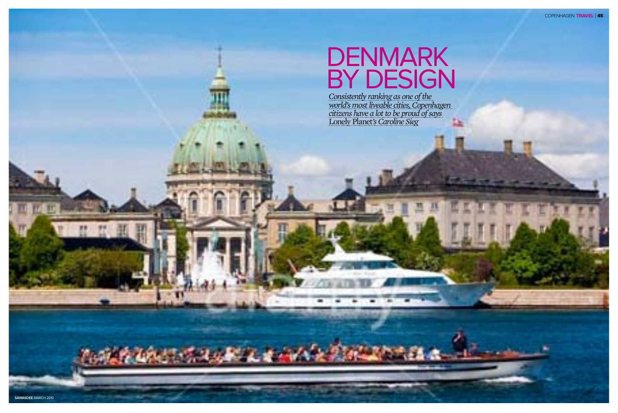

# DENMARK BY DESIGN

*Consistently ranking as one of the world's most liveable cities, Copenhagen citizens have a lot to be proud of says*  Lonely Planet*'s Caroline Sieg*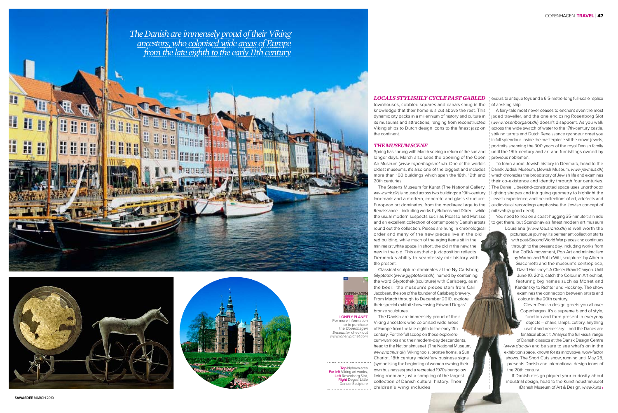#### *Locals stylishly cycle past gabled*

townhouses, cobbled squares and canals smug in the knowledge that their home is a cut above the rest. This dynamic city packs in a millennium of history and culture in its museums and attractions, ranging from reconstructed Viking ships to Dutch design icons to the finest jazz on the continent.

#### *The MuseumScene*

Spring has sprung with March seeing a return of the sun and longer days. March also sees the opening of the Open Air Museum (www.copenhagenet.dk). One of the world's oldest museums, it's also one of the biggest and includes more than 100 buildings which span the 18th, 19th and 20th centuries.

The Statens Museum for Kunst (The National Gallery, www.smk.dk) is housed across two buildings: a 19th-century landmark and a modern, concrete and glass structure. European art dominates, from the mediaeval age to the Renaissance – including works by Rubens and Dürer – while the usual modern suspects such as Picasso and Matisse and an excellent collection of contemporary Danish artists round out the collection. Pieces are hung in chronological order and many of the new pieces live in the old red building, while much of the aging items sit in the minimalist white space. In short, the old in the new, the new in the old. This aesthetic juxtaposition reflects Denmark's ability to seamlessly mix history with the present.

Classical sculpture dominates at the Ny Carlsberg Glyptotek (www.glyptoteket.dk), named by combining the word Glyptothek (sculpture) with Carlsberg, as in the beer: the museum's pieces stem from Carl Jacobsen, the son of the founder of Carlsberg brewery. From March through to December 2010, explore their special exhibit showcasing Edward Degas' bronze sculptures.

The Danish are immensely proud of their Viking ancestors who colonised wide areas of Europe from the late eighth to the early 11th century. For the full scoop on these explorerscum-warriors and their modern-day descendants, head to the Nationalmuseet (The National Museum, www.natmus.dk). Viking tools, bronze horns, a Sun Chariot, 18th century midwifery business signs (symbolising the beginning of women owning their own businesses) and a recreated 1970s bungalow living room are just a sampling of the largest collection of Danish cultural history. Their children's wing includes

If Danish design piqued your curiosity about industrial design, head to the Kunstindustrimuseet (Danish Museum of Art & Design, www.kuns>

exquisite antique toys and a 6.5-metre-long full-scale replica of a Viking ship.

A fairy-tale moat never ceases to enchant even the most jaded traveller, and the one enclosing Rosenborg Slot (www.rosenborgslot.dk) doesn't disappoint. As you walk across the wide swatch of water to the 17th-century castle, striking turrets and Dutch Renaissance grandeur greet you in full splendour. Inside the masterpiece sit the crown jewels, portraits spanning the 300 years of the royal Danish family until the 19th-century and art and furnishings owned by previous noblemen.

To learn about Jewish history in Denmark, head to the Dansk Jødisk Museum, (Jewish Museum, www.jewmus.dk) which chronicles the broad story of Jewish life and examines their co-existence and identity through four centuries. The Daniel Libeskind-constructed space uses unorthodox lighting shapes and intriguing geometry to highlight the Jewish experience, and the collections of art, artefects and audiovisual recordings emphasise the Jewish concept of mitzvah (a good deed).

You need to hop on a coast-hugging 35-minute train ride to get there, but Scandinavia's finest modern art museum

Louisiana (www.louisiana.dk) is well worth the picturesque journey. Its permanent collection starts with post-Second World War pieces and continues through to the present day, including works from the CoBrA movement, Pop Art and minimalism by Warhol and Sol LeWitt, sculptures by Alberto Giacometti and the museum's centrepiece, David Hockney's A Closer Grand Canyon. Until June 10, 2010, catch the Colour in Art exhibit, featuring big names such as Monet and Kandinsky to Richter and Hockney. The show examines the connection between artists and colour in the 20th century.

Clever Danish design greets you all over Copenhagen. It's a supreme blend of style, function and form present in everyday objects – chairs, lamps, cutlery, anything useful and necessary – and the Danes are fanatical about it. Analyse the full visual range of Danish classics at the Dansk Design Centre (www.ddc.dk) and be sure to see what's on in the exhibition space, known for its innovative, wow-factor shows. The Short Cuts show, running until May 28, presents Danish and international design icons of the 20th century.

**Top** Nyhavn area **Far left** Viking art works, **Left** Rosenborg Slot, **Right** Degas' Little Dancer Sculpture

**SAWASDEE** march 2010







**Lonely Planet** For more information or to purchase the Copenhagen Encounter, check out www.lonelyplanet.com

**COPENHAGEN**